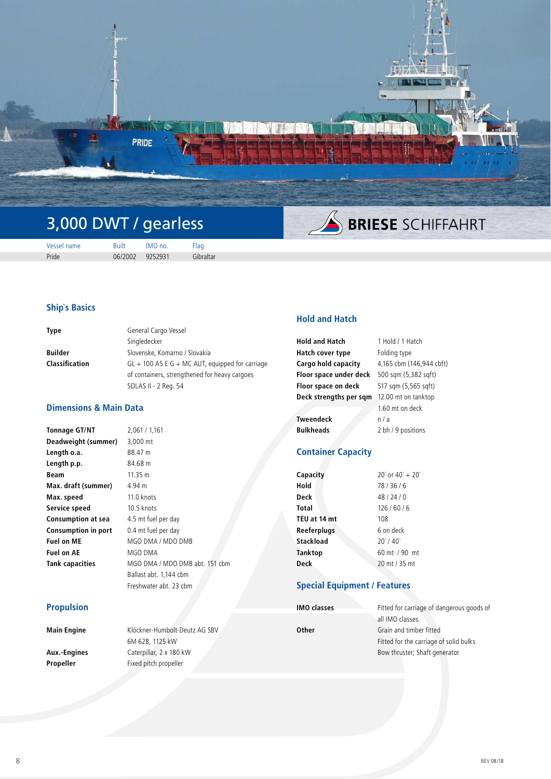

# 3,000 DWT / gearless

**SINESE SCHIFFAHRT** 

| Vessel name | <b>Built</b>    | IMO no. | Flag      |
|-------------|-----------------|---------|-----------|
| Pride       | 06/2002 9252931 |         | Gibraltar |

### **Ship`s Basics**

| <b>Type</b>           | General Cargo Vessel                              |
|-----------------------|---------------------------------------------------|
|                       | Singledecker                                      |
| <b>Builder</b>        | Slovenske, Komarno / Slovakia                     |
| <b>Classification</b> | $GL + 100$ A5 E G + MC AUT, equipped for carriage |
|                       | of containers, strengthened for heavy cargoes     |
|                       | SOLAS II - 2 Reg. 54                              |

## **Dimensions & Main Data**

| <b>Tonnage GT/NT</b>       | 2,061 / 1,161                  |
|----------------------------|--------------------------------|
| Deadweight (summer)        | 3,000 mt                       |
| Length o.a.                | 88.47 m                        |
| Length p.p.                | 84.68 m                        |
| Beam                       | 11.35 m                        |
| Max. draft (summer)        | 4.94 m                         |
| Max. speed                 | 11.0 knots                     |
| Service speed              | 10.5 knots                     |
| <b>Consumption at sea</b>  | 4.5 mt fuel per day            |
| <b>Consumption in port</b> | 0.4 mt fuel per day            |
| <b>Fuel on ME</b>          | MGO DMA / MDO DMB              |
| <b>Fuel on AE</b>          | MGO DMA                        |
| Tank capacities            | MGO DMA / MDO DMB abt. 151 cbm |
|                            | Ballast abt. 1,144 cbm         |
|                            | Freshwater abt. 23 cbm         |

#### **Propulsion**

| Main Engine  | Klöckner-Humbolt-Deutz AG SBV | Other |
|--------------|-------------------------------|-------|
|              | 6M 628, 1125 kW               |       |
| Aux.-Engines | Caterpillar, 2 x 180 kW       |       |
| Propeller    | Fixed pitch propeller         |       |
|              |                               |       |

### **Hold and Hatch**

| <b>Hold and Hatch</b>  | 1 Hold / 1 Hatch         |
|------------------------|--------------------------|
| Hatch cover type       | Folding type             |
| Cargo hold capacity    | 4,165 cbm (146,944 cbft) |
| Floor space under deck | 500 sqm (5,382 sqft)     |
| Floor space on deck    | 517 sqm (5,565 sqft)     |
| Deck strengths per sgm | 12.00 mt on tanktop      |
|                        | 1.60 mt on deck          |
| <b>Tweendeck</b>       | n/a                      |
| <b>Bulkheads</b>       | 2 bh / 9 positions       |

## **Container Capacity**

| Capacity     | $20'$ or $40' + 20'$ |
|--------------|----------------------|
| Hold         | 78/36/6              |
| Deck         | 48/24/0              |
| Total        | 126/60/6             |
| TEU at 14 mt | 108                  |
| Reeferplugs  | 6 on deck            |
| Stackload    | $20'$ / 40 $'$       |
| Tanktop      | 60 mt / 90 mt        |
| <b>Deck</b>  | 20 mt / 35 mt        |

#### **Special Equipment / Features**

**IMO classes**

| Fitted for carriage of dangerous goods of |
|-------------------------------------------|
| all IMO classes                           |
| Grain and timber fitted                   |
| Fitted for the carriage of solid bulks    |
| Bow thruster; Shaft generator             |
|                                           |